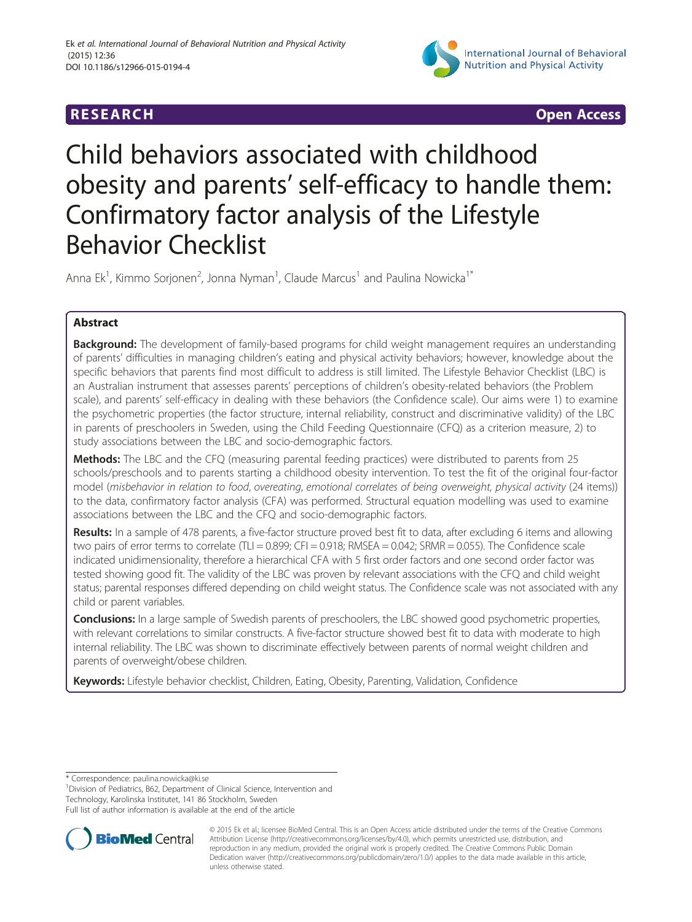

**RESEARCH RESEARCH** *CHECKER CHECKER CHECKER CHECKER CHECKER CHECKER CHECKER CHECKER CHECKER CHECKER CHECKER* 

# Child behaviors associated with childhood obesity and parents' self-efficacy to handle them: Confirmatory factor analysis of the Lifestyle Behavior Checklist

Anna Ek<sup>1</sup>, Kimmo Sorjonen<sup>2</sup>, Jonna Nyman<sup>1</sup>, Claude Marcus<sup>1</sup> and Paulina Nowicka<sup>1\*</sup>

# Abstract

**Background:** The development of family-based programs for child weight management requires an understanding of parents' difficulties in managing children's eating and physical activity behaviors; however, knowledge about the specific behaviors that parents find most difficult to address is still limited. The Lifestyle Behavior Checklist (LBC) is an Australian instrument that assesses parents' perceptions of children's obesity-related behaviors (the Problem scale), and parents' self-efficacy in dealing with these behaviors (the Confidence scale). Our aims were 1) to examine the psychometric properties (the factor structure, internal reliability, construct and discriminative validity) of the LBC in parents of preschoolers in Sweden, using the Child Feeding Questionnaire (CFQ) as a criterion measure, 2) to study associations between the LBC and socio-demographic factors.

**Methods:** The LBC and the CFQ (measuring parental feeding practices) were distributed to parents from 25 schools/preschools and to parents starting a childhood obesity intervention. To test the fit of the original four-factor model (misbehavior in relation to food, overeating, emotional correlates of being overweight, physical activity (24 items)) to the data, confirmatory factor analysis (CFA) was performed. Structural equation modelling was used to examine associations between the LBC and the CFQ and socio-demographic factors.

Results: In a sample of 478 parents, a five-factor structure proved best fit to data, after excluding 6 items and allowing two pairs of error terms to correlate (TLI = 0.899; CFI = 0.918; RMSEA = 0.042; SRMR = 0.055). The Confidence scale indicated unidimensionality, therefore a hierarchical CFA with 5 first order factors and one second order factor was tested showing good fit. The validity of the LBC was proven by relevant associations with the CFQ and child weight status; parental responses differed depending on child weight status. The Confidence scale was not associated with any child or parent variables.

**Conclusions:** In a large sample of Swedish parents of preschoolers, the LBC showed good psychometric properties, with relevant correlations to similar constructs. A five-factor structure showed best fit to data with moderate to high internal reliability. The LBC was shown to discriminate effectively between parents of normal weight children and parents of overweight/obese children.

Keywords: Lifestyle behavior checklist, Children, Eating, Obesity, Parenting, Validation, Confidence

\* Correspondence: [paulina.nowicka@ki.se](mailto:paulina.nowicka@ki.se) <sup>1</sup>

<sup>1</sup> Division of Pediatrics, B62, Department of Clinical Science, Intervention and Technology, Karolinska Institutet, 141 86 Stockholm, Sweden

Full list of author information is available at the end of the article



© 2015 Ek et al.; licensee BioMed Central. This is an Open Access article distributed under the terms of the Creative Commons Attribution License (<http://creativecommons.org/licenses/by/4.0>), which permits unrestricted use, distribution, and reproduction in any medium, provided the original work is properly credited. The Creative Commons Public Domain Dedication waiver [\(http://creativecommons.org/publicdomain/zero/1.0/](http://creativecommons.org/publicdomain/zero/1.0/)) applies to the data made available in this article, unless otherwise stated.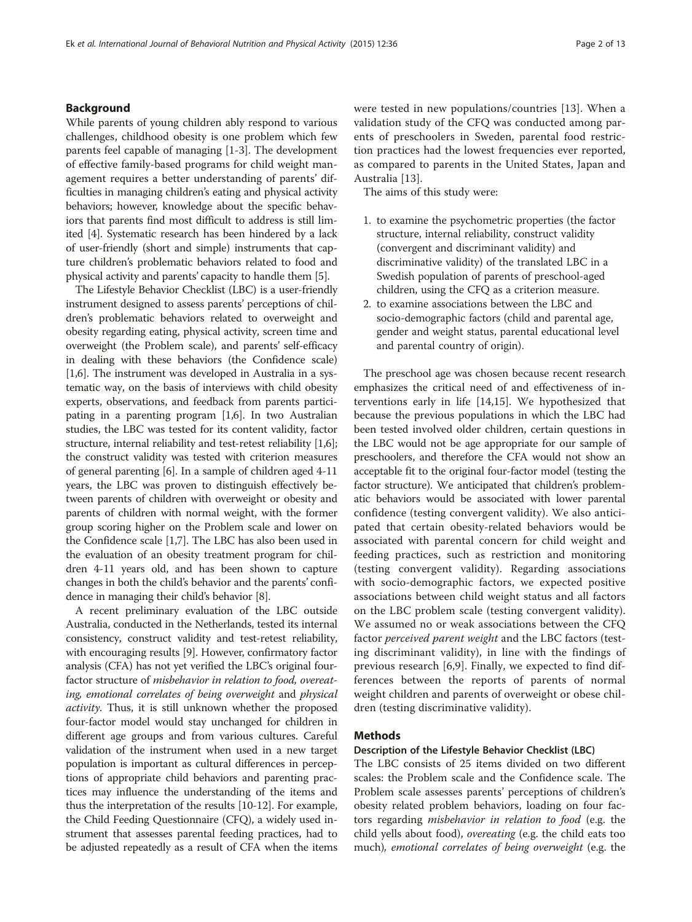# Background

While parents of young children ably respond to various challenges, childhood obesity is one problem which few parents feel capable of managing [\[1](#page-11-0)-[3\]](#page-11-0). The development of effective family-based programs for child weight management requires a better understanding of parents' difficulties in managing children's eating and physical activity behaviors; however, knowledge about the specific behaviors that parents find most difficult to address is still limited [\[4](#page-11-0)]. Systematic research has been hindered by a lack of user-friendly (short and simple) instruments that capture children's problematic behaviors related to food and physical activity and parents' capacity to handle them [\[5\]](#page-11-0).

The Lifestyle Behavior Checklist (LBC) is a user-friendly instrument designed to assess parents' perceptions of children's problematic behaviors related to overweight and obesity regarding eating, physical activity, screen time and overweight (the Problem scale), and parents' self-efficacy in dealing with these behaviors (the Confidence scale) [[1,6](#page-11-0)]. The instrument was developed in Australia in a systematic way, on the basis of interviews with child obesity experts, observations, and feedback from parents participating in a parenting program [\[1,6\]](#page-11-0). In two Australian studies, the LBC was tested for its content validity, factor structure, internal reliability and test-retest reliability [[1](#page-11-0),[6](#page-11-0)]; the construct validity was tested with criterion measures of general parenting [\[6\]](#page-11-0). In a sample of children aged 4-11 years, the LBC was proven to distinguish effectively between parents of children with overweight or obesity and parents of children with normal weight, with the former group scoring higher on the Problem scale and lower on the Confidence scale [[1,7](#page-11-0)]. The LBC has also been used in the evaluation of an obesity treatment program for children 4-11 years old, and has been shown to capture changes in both the child's behavior and the parents' confidence in managing their child's behavior [\[8\]](#page-11-0).

A recent preliminary evaluation of the LBC outside Australia, conducted in the Netherlands, tested its internal consistency, construct validity and test-retest reliability, with encouraging results [\[9](#page-11-0)]. However, confirmatory factor analysis (CFA) has not yet verified the LBC's original fourfactor structure of misbehavior in relation to food, overeating, emotional correlates of being overweight and physical activity. Thus, it is still unknown whether the proposed four-factor model would stay unchanged for children in different age groups and from various cultures. Careful validation of the instrument when used in a new target population is important as cultural differences in perceptions of appropriate child behaviors and parenting practices may influence the understanding of the items and thus the interpretation of the results [\[10-12\]](#page-11-0). For example, the Child Feeding Questionnaire (CFQ), a widely used instrument that assesses parental feeding practices, had to be adjusted repeatedly as a result of CFA when the items were tested in new populations/countries [\[13](#page-11-0)]. When a validation study of the CFQ was conducted among parents of preschoolers in Sweden, parental food restriction practices had the lowest frequencies ever reported, as compared to parents in the United States, Japan and Australia [\[13](#page-11-0)].

The aims of this study were:

- 1. to examine the psychometric properties (the factor structure, internal reliability, construct validity (convergent and discriminant validity) and discriminative validity) of the translated LBC in a Swedish population of parents of preschool-aged children, using the CFQ as a criterion measure.
- 2. to examine associations between the LBC and socio-demographic factors (child and parental age, gender and weight status, parental educational level and parental country of origin).

The preschool age was chosen because recent research emphasizes the critical need of and effectiveness of interventions early in life [\[14,15\]](#page-12-0). We hypothesized that because the previous populations in which the LBC had been tested involved older children, certain questions in the LBC would not be age appropriate for our sample of preschoolers, and therefore the CFA would not show an acceptable fit to the original four-factor model (testing the factor structure). We anticipated that children's problematic behaviors would be associated with lower parental confidence (testing convergent validity). We also anticipated that certain obesity-related behaviors would be associated with parental concern for child weight and feeding practices, such as restriction and monitoring (testing convergent validity). Regarding associations with socio-demographic factors, we expected positive associations between child weight status and all factors on the LBC problem scale (testing convergent validity). We assumed no or weak associations between the CFQ factor perceived parent weight and the LBC factors (testing discriminant validity), in line with the findings of previous research [\[6](#page-11-0),[9\]](#page-11-0). Finally, we expected to find differences between the reports of parents of normal weight children and parents of overweight or obese children (testing discriminative validity).

# Methods

# Description of the Lifestyle Behavior Checklist (LBC)

The LBC consists of 25 items divided on two different scales: the Problem scale and the Confidence scale. The Problem scale assesses parents' perceptions of children's obesity related problem behaviors, loading on four factors regarding misbehavior in relation to food (e.g. the child yells about food), overeating (e.g. the child eats too much), emotional correlates of being overweight (e.g. the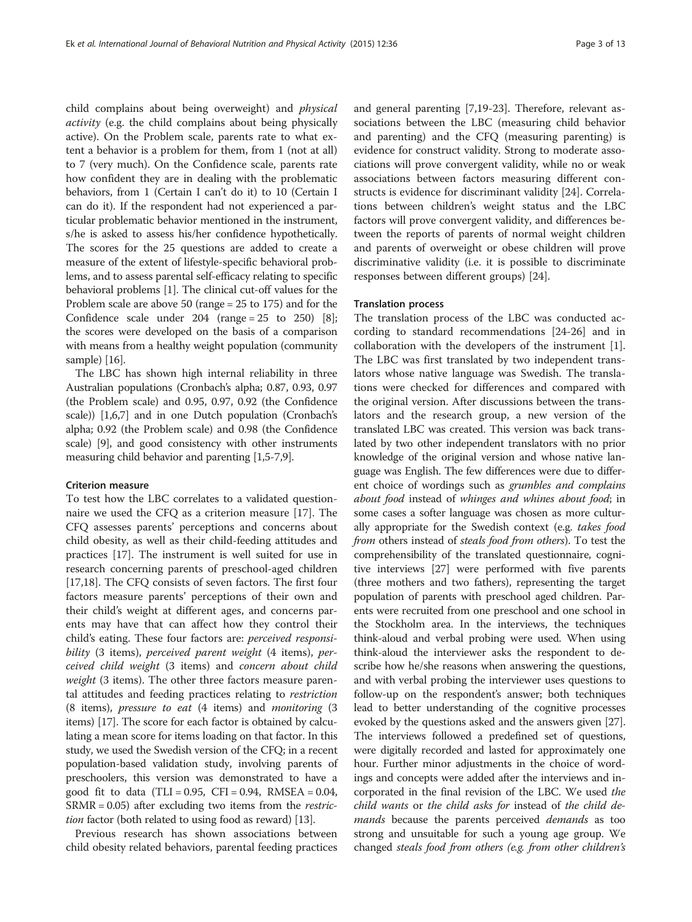child complains about being overweight) and physical activity (e.g. the child complains about being physically active). On the Problem scale, parents rate to what extent a behavior is a problem for them, from 1 (not at all) to 7 (very much). On the Confidence scale, parents rate how confident they are in dealing with the problematic behaviors, from 1 (Certain I can't do it) to 10 (Certain I can do it). If the respondent had not experienced a particular problematic behavior mentioned in the instrument, s/he is asked to assess his/her confidence hypothetically. The scores for the 25 questions are added to create a measure of the extent of lifestyle-specific behavioral problems, and to assess parental self-efficacy relating to specific behavioral problems [[1\]](#page-11-0). The clinical cut-off values for the Problem scale are above 50 (range = 25 to 175) and for the Confidence scale under  $204$  (range =  $25$  to  $250$ ) [[8](#page-11-0)]; the scores were developed on the basis of a comparison with means from a healthy weight population (community sample) [\[16](#page-12-0)].

The LBC has shown high internal reliability in three Australian populations (Cronbach's alpha; 0.87, 0.93, 0.97 (the Problem scale) and 0.95, 0.97, 0.92 (the Confidence scale)) [\[1,6,7](#page-11-0)] and in one Dutch population (Cronbach's alpha; 0.92 (the Problem scale) and 0.98 (the Confidence scale) [\[9](#page-11-0)], and good consistency with other instruments measuring child behavior and parenting [\[1,5-7,9](#page-11-0)].

# Criterion measure

To test how the LBC correlates to a validated questionnaire we used the CFQ as a criterion measure [[17\]](#page-12-0). The CFQ assesses parents' perceptions and concerns about child obesity, as well as their child-feeding attitudes and practices [\[17\]](#page-12-0). The instrument is well suited for use in research concerning parents of preschool-aged children [[17,18\]](#page-12-0). The CFQ consists of seven factors. The first four factors measure parents' perceptions of their own and their child's weight at different ages, and concerns parents may have that can affect how they control their child's eating. These four factors are: perceived responsibility (3 items), perceived parent weight (4 items), perceived child weight (3 items) and concern about child weight (3 items). The other three factors measure parental attitudes and feeding practices relating to restriction (8 items), pressure to eat (4 items) and monitoring (3 items) [\[17\]](#page-12-0). The score for each factor is obtained by calculating a mean score for items loading on that factor. In this study, we used the Swedish version of the CFQ; in a recent population-based validation study, involving parents of preschoolers, this version was demonstrated to have a good fit to data (TLI =  $0.95$ , CFI =  $0.94$ , RMSEA =  $0.04$ ,  $SRMR = 0.05$ ) after excluding two items from the *restric*tion factor (both related to using food as reward) [[13](#page-11-0)].

Previous research has shown associations between child obesity related behaviors, parental feeding practices

and general parenting [[7,](#page-11-0)[19-23\]](#page-12-0). Therefore, relevant associations between the LBC (measuring child behavior and parenting) and the CFQ (measuring parenting) is evidence for construct validity. Strong to moderate associations will prove convergent validity, while no or weak associations between factors measuring different constructs is evidence for discriminant validity [[24](#page-12-0)]. Correlations between children's weight status and the LBC factors will prove convergent validity, and differences between the reports of parents of normal weight children and parents of overweight or obese children will prove discriminative validity (i.e. it is possible to discriminate responses between different groups) [[24](#page-12-0)].

### Translation process

The translation process of the LBC was conducted according to standard recommendations [\[24-26](#page-12-0)] and in collaboration with the developers of the instrument [\[1](#page-11-0)]. The LBC was first translated by two independent translators whose native language was Swedish. The translations were checked for differences and compared with the original version. After discussions between the translators and the research group, a new version of the translated LBC was created. This version was back translated by two other independent translators with no prior knowledge of the original version and whose native language was English. The few differences were due to different choice of wordings such as grumbles and complains about food instead of whinges and whines about food; in some cases a softer language was chosen as more culturally appropriate for the Swedish context (e.g. takes food from others instead of steals food from others). To test the comprehensibility of the translated questionnaire, cognitive interviews [[27](#page-12-0)] were performed with five parents (three mothers and two fathers), representing the target population of parents with preschool aged children. Parents were recruited from one preschool and one school in the Stockholm area. In the interviews, the techniques think-aloud and verbal probing were used. When using think-aloud the interviewer asks the respondent to describe how he/she reasons when answering the questions, and with verbal probing the interviewer uses questions to follow-up on the respondent's answer; both techniques lead to better understanding of the cognitive processes evoked by the questions asked and the answers given [[27](#page-12-0)]. The interviews followed a predefined set of questions, were digitally recorded and lasted for approximately one hour. Further minor adjustments in the choice of wordings and concepts were added after the interviews and incorporated in the final revision of the LBC. We used the child wants or the child asks for instead of the child demands because the parents perceived *demands* as too strong and unsuitable for such a young age group. We changed steals food from others (e.g. from other children's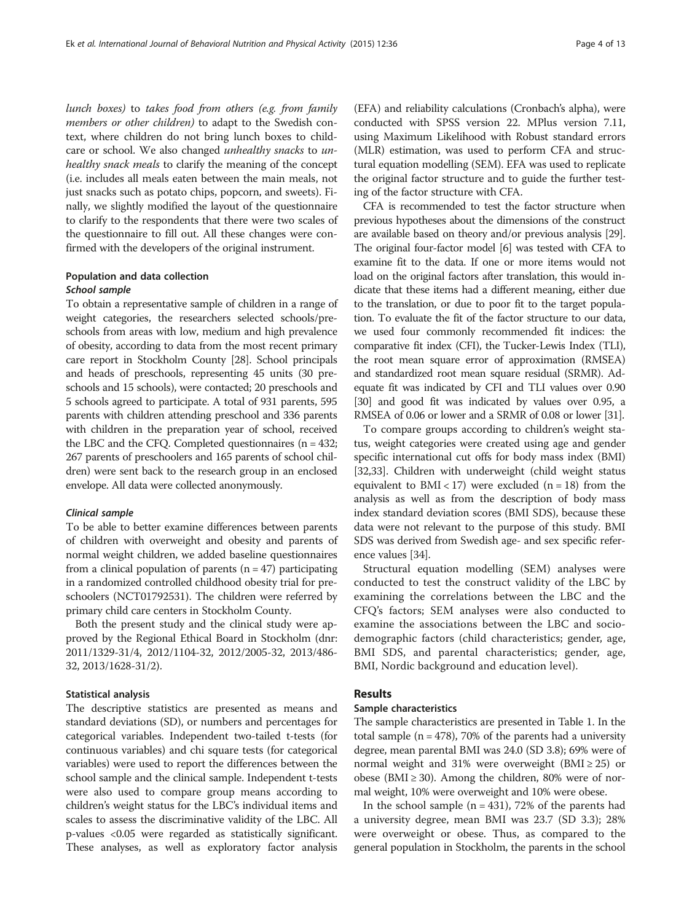lunch boxes) to takes food from others (e.g. from family members or other children) to adapt to the Swedish context, where children do not bring lunch boxes to childcare or school. We also changed unhealthy snacks to unhealthy snack meals to clarify the meaning of the concept (i.e. includes all meals eaten between the main meals, not just snacks such as potato chips, popcorn, and sweets). Finally, we slightly modified the layout of the questionnaire to clarify to the respondents that there were two scales of the questionnaire to fill out. All these changes were confirmed with the developers of the original instrument.

# Population and data collection

# School sample

To obtain a representative sample of children in a range of weight categories, the researchers selected schools/preschools from areas with low, medium and high prevalence of obesity, according to data from the most recent primary care report in Stockholm County [\[28](#page-12-0)]. School principals and heads of preschools, representing 45 units (30 preschools and 15 schools), were contacted; 20 preschools and 5 schools agreed to participate. A total of 931 parents, 595 parents with children attending preschool and 336 parents with children in the preparation year of school, received the LBC and the CFQ. Completed questionnaires (n = 432; 267 parents of preschoolers and 165 parents of school children) were sent back to the research group in an enclosed envelope. All data were collected anonymously.

# Clinical sample

To be able to better examine differences between parents of children with overweight and obesity and parents of normal weight children, we added baseline questionnaires from a clinical population of parents  $(n = 47)$  participating in a randomized controlled childhood obesity trial for preschoolers (NCT01792531). The children were referred by primary child care centers in Stockholm County.

Both the present study and the clinical study were approved by the Regional Ethical Board in Stockholm (dnr: 2011/1329-31/4, 2012/1104-32, 2012/2005-32, 2013/486- 32, 2013/1628-31/2).

# Statistical analysis

The descriptive statistics are presented as means and standard deviations (SD), or numbers and percentages for categorical variables. Independent two-tailed t-tests (for continuous variables) and chi square tests (for categorical variables) were used to report the differences between the school sample and the clinical sample. Independent t-tests were also used to compare group means according to children's weight status for the LBC's individual items and scales to assess the discriminative validity of the LBC. All p-values <0.05 were regarded as statistically significant. These analyses, as well as exploratory factor analysis (EFA) and reliability calculations (Cronbach's alpha), were conducted with SPSS version 22. MPlus version 7.11, using Maximum Likelihood with Robust standard errors (MLR) estimation, was used to perform CFA and structural equation modelling (SEM). EFA was used to replicate the original factor structure and to guide the further testing of the factor structure with CFA.

CFA is recommended to test the factor structure when previous hypotheses about the dimensions of the construct are available based on theory and/or previous analysis [\[29](#page-12-0)]. The original four-factor model [\[6\]](#page-11-0) was tested with CFA to examine fit to the data. If one or more items would not load on the original factors after translation, this would indicate that these items had a different meaning, either due to the translation, or due to poor fit to the target population. To evaluate the fit of the factor structure to our data, we used four commonly recommended fit indices: the comparative fit index (CFI), the Tucker-Lewis Index (TLI), the root mean square error of approximation (RMSEA) and standardized root mean square residual (SRMR). Adequate fit was indicated by CFI and TLI values over 0.90 [[30](#page-12-0)] and good fit was indicated by values over 0.95, a RMSEA of 0.06 or lower and a SRMR of 0.08 or lower [\[31\]](#page-12-0).

To compare groups according to children's weight status, weight categories were created using age and gender specific international cut offs for body mass index (BMI) [[32](#page-12-0),[33](#page-12-0)]. Children with underweight (child weight status equivalent to  $BMI < 17$ ) were excluded (n = 18) from the analysis as well as from the description of body mass index standard deviation scores (BMI SDS), because these data were not relevant to the purpose of this study. BMI SDS was derived from Swedish age- and sex specific reference values [[34](#page-12-0)].

Structural equation modelling (SEM) analyses were conducted to test the construct validity of the LBC by examining the correlations between the LBC and the CFQ's factors; SEM analyses were also conducted to examine the associations between the LBC and sociodemographic factors (child characteristics; gender, age, BMI SDS, and parental characteristics; gender, age, BMI, Nordic background and education level).

# Results

# Sample characteristics

The sample characteristics are presented in Table [1.](#page-4-0) In the total sample  $(n = 478)$ , 70% of the parents had a university degree, mean parental BMI was 24.0 (SD 3.8); 69% were of normal weight and 31% were overweight (BMI  $\geq$  25) or obese (BMI  $\geq$  30). Among the children, 80% were of normal weight, 10% were overweight and 10% were obese.

In the school sample  $(n = 431)$ , 72% of the parents had a university degree, mean BMI was 23.7 (SD 3.3); 28% were overweight or obese. Thus, as compared to the general population in Stockholm, the parents in the school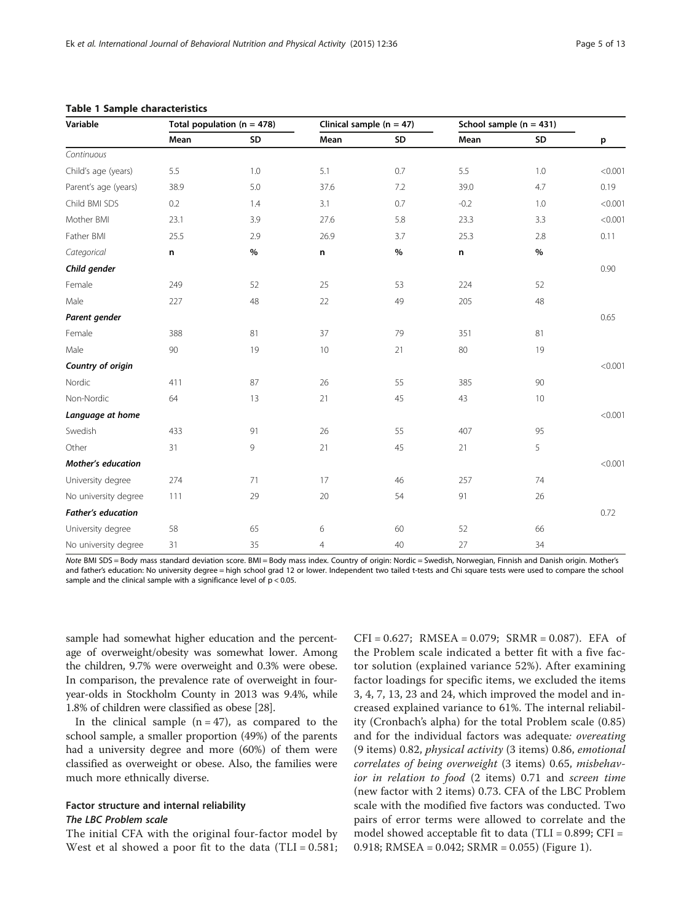| Variable                  | Total population ( $n = 478$ ) |      |                | Clinical sample $(n = 47)$ | School sample ( $n = 431$ ) |      |         |
|---------------------------|--------------------------------|------|----------------|----------------------------|-----------------------------|------|---------|
|                           | Mean                           | SD   | Mean           | SD                         | Mean                        | SD   | p       |
| Continuous                |                                |      |                |                            |                             |      |         |
| Child's age (years)       | 5.5                            | 1.0  | 5.1            | 0.7                        | 5.5                         | 1.0  | < 0.001 |
| Parent's age (years)      | 38.9                           | 5.0  | 37.6           | 7.2                        | 39.0                        | 4.7  | 0.19    |
| Child BMI SDS             | 0.2                            | 1.4  | 3.1            | 0.7                        | $-0.2$                      | 1.0  | < 0.001 |
| Mother BMI                | 23.1                           | 3.9  | 27.6           | 5.8                        | 23.3                        | 3.3  | < 0.001 |
| Father BMI                | 25.5                           | 2.9  | 26.9           | 3.7                        | 25.3                        | 2.8  | 0.11    |
| Categorical               | n                              | $\%$ | n              | $\%$                       | n                           | $\%$ |         |
| Child gender              |                                |      |                |                            |                             |      | 0.90    |
| Female                    | 249                            | 52   | 25             | 53                         | 224                         | 52   |         |
| Male                      | 227                            | 48   | 22             | 49                         | 205                         | 48   |         |
| Parent gender             |                                |      |                |                            |                             |      | 0.65    |
| Female                    | 388                            | 81   | 37             | 79                         | 351                         | 81   |         |
| Male                      | 90                             | 19   | 10             | 21                         | 80                          | 19   |         |
| Country of origin         |                                |      |                |                            |                             |      | < 0.001 |
| Nordic                    | 411                            | 87   | 26             | 55                         | 385                         | 90   |         |
| Non-Nordic                | 64                             | 13   | 21             | 45                         | 43                          | 10   |         |
| Language at home          |                                |      |                |                            |                             |      | < 0.001 |
| Swedish                   | 433                            | 91   | 26             | 55                         | 407                         | 95   |         |
| Other                     | 31                             | 9    | 21             | 45                         | 21                          | 5    |         |
| <b>Mother's education</b> |                                |      |                |                            |                             |      | < 0.001 |
| University degree         | 274                            | 71   | 17             | 46                         | 257                         | 74   |         |
| No university degree      | 111                            | 29   | 20             | 54                         | 91                          | 26   |         |
| <b>Father's education</b> |                                |      |                |                            |                             |      | 0.72    |
| University degree         | 58                             | 65   | 6              | 60                         | 52                          | 66   |         |
| No university degree      | 31                             | 35   | $\overline{4}$ | 40                         | 27                          | 34   |         |

### <span id="page-4-0"></span>Table 1 Sample characteristics

Note BMI SDS = Body mass standard deviation score. BMI = Body mass index. Country of origin: Nordic = Swedish, Norwegian, Finnish and Danish origin. Mother's and father's education: No university degree = high school grad 12 or lower. Independent two tailed t-tests and Chi square tests were used to compare the school sample and the clinical sample with a significance level of  $p < 0.05$ .

sample had somewhat higher education and the percentage of overweight/obesity was somewhat lower. Among the children, 9.7% were overweight and 0.3% were obese. In comparison, the prevalence rate of overweight in fouryear-olds in Stockholm County in 2013 was 9.4%, while 1.8% of children were classified as obese [\[28\]](#page-12-0).

In the clinical sample  $(n = 47)$ , as compared to the school sample, a smaller proportion (49%) of the parents had a university degree and more (60%) of them were classified as overweight or obese. Also, the families were much more ethnically diverse.

# Factor structure and internal reliability The LBC Problem scale

The initial CFA with the original four-factor model by West et al showed a poor fit to the data  $(TLI = 0.581;$ 

 $CFI = 0.627$ ; RMSEA = 0.079; SRMR = 0.087). EFA of the Problem scale indicated a better fit with a five factor solution (explained variance 52%). After examining factor loadings for specific items, we excluded the items 3, 4, 7, 13, 23 and 24, which improved the model and increased explained variance to 61%. The internal reliability (Cronbach's alpha) for the total Problem scale (0.85) and for the individual factors was adequate: overeating (9 items) 0.82, physical activity (3 items) 0.86, emotional correlates of being overweight (3 items) 0.65, misbehavior in relation to food (2 items) 0.71 and screen time (new factor with 2 items) 0.73. CFA of the LBC Problem scale with the modified five factors was conducted. Two pairs of error terms were allowed to correlate and the model showed acceptable fit to data (TLI = 0.899; CFI = 0.918; RMSEA = 0.042; SRMR = 0.055) (Figure [1](#page-5-0)).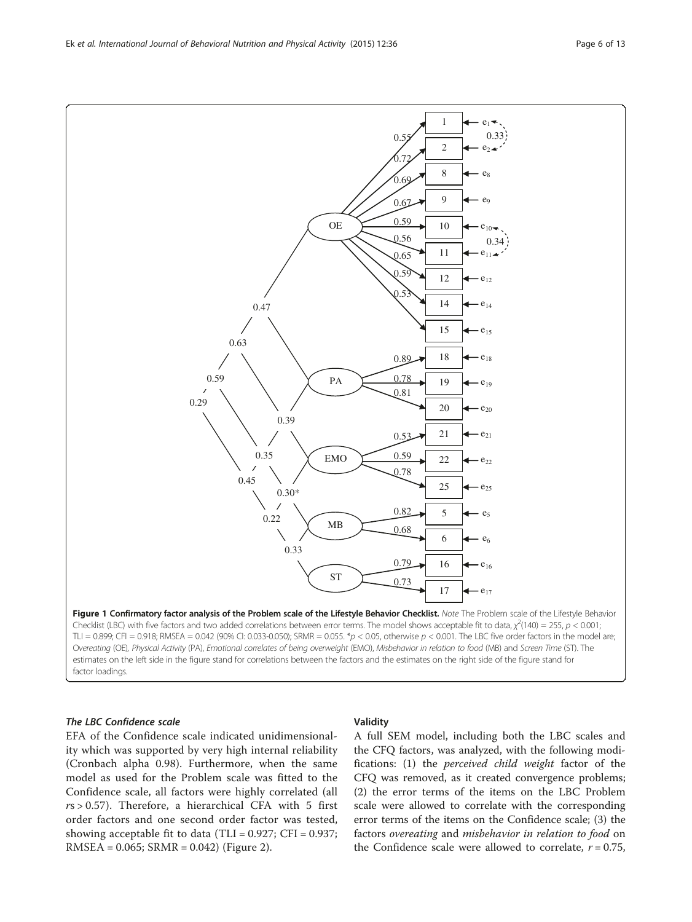The LBC Confidence scale EFA of the Confidence scale indicated unidimensionality which was supported by very high internal reliability (Cronbach alpha 0.98). Furthermore, when the same model as used for the Problem scale was fitted to the Confidence scale, all factors were highly correlated (all  $rs > 0.57$ ). Therefore, a hierarchical CFA with 5 first order factors and one second order factor was tested, showing acceptable fit to data (TLI =  $0.927$ ; CFI =  $0.937$ ; RMSEA = 0.065; SRMR = 0.042) (Figure [2\)](#page-6-0).

factor loadings.

# Validity

A full SEM model, including both the LBC scales and the CFQ factors, was analyzed, with the following modifications: (1) the perceived child weight factor of the CFQ was removed, as it created convergence problems; (2) the error terms of the items on the LBC Problem scale were allowed to correlate with the corresponding error terms of the items on the Confidence scale; (3) the factors overeating and misbehavior in relation to food on the Confidence scale were allowed to correlate,  $r = 0.75$ ,

<span id="page-5-0"></span>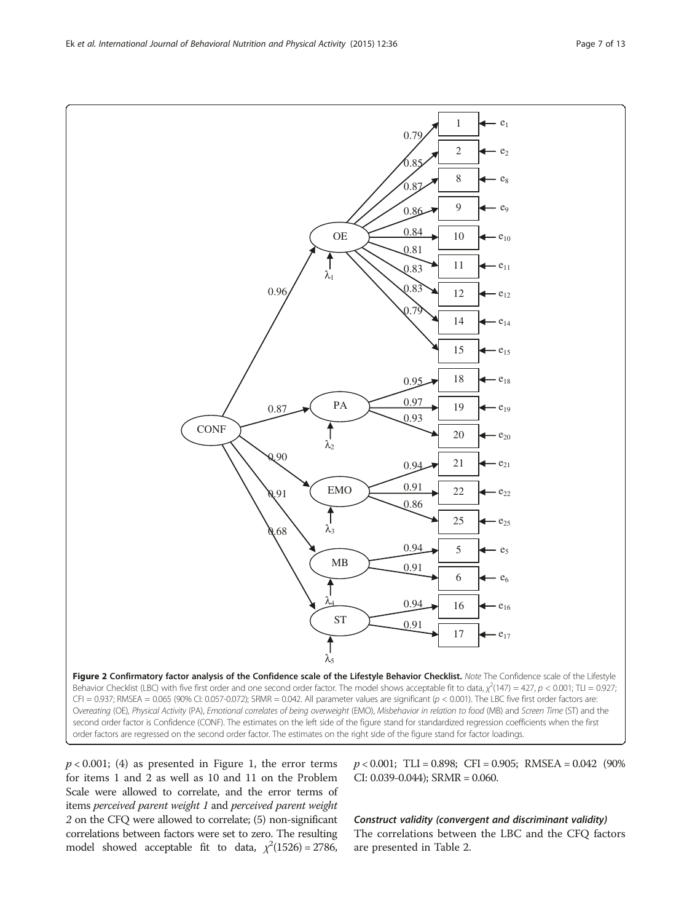$p < 0.001$ ; (4) as presented in Figure [1,](#page-5-0) the error terms for items 1 and 2 as well as 10 and 11 on the Problem Scale were allowed to correlate, and the error terms of items perceived parent weight 1 and perceived parent weight 2 on the CFQ were allowed to correlate; (5) non-significant correlations between factors were set to zero. The resulting model showed acceptable fit to data,  $\chi^2(1526) = 2786$ ,

 $p < 0.001$ ; TLI = 0.898; CFI = 0.905; RMSEA = 0.042 (90%) CI: 0.039-0.044); SRMR = 0.060.

Construct validity (convergent and discriminant validity) The correlations between the LBC and the CFQ factors are presented in Table [2.](#page-7-0)

<span id="page-6-0"></span>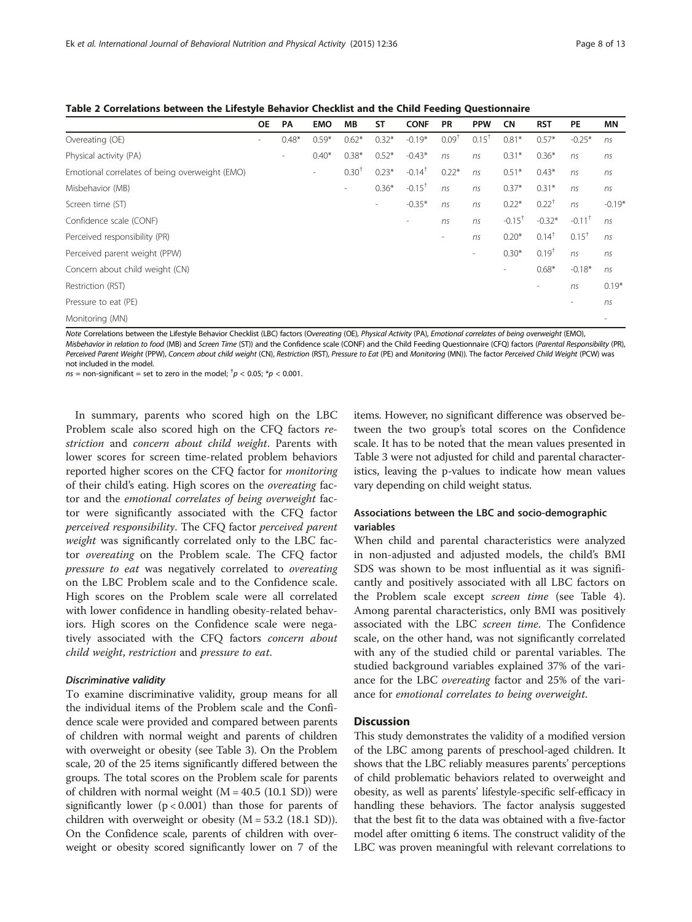<span id="page-7-0"></span>

|  |  |  |  |  |  |  |  |  |  |  |  | Table 2 Correlations between the Lifestyle Behavior Checklist and the Child Feeding Questionnaire |
|--|--|--|--|--|--|--|--|--|--|--|--|---------------------------------------------------------------------------------------------------|
|--|--|--|--|--|--|--|--|--|--|--|--|---------------------------------------------------------------------------------------------------|

|                                                | <b>OE</b>                | <b>PA</b> | <b>EMO</b> | <b>MB</b>                | <b>ST</b>                | <b>CONF</b>              | <b>PR</b>                | <b>PPW</b>               | <b>CN</b>                | <b>RST</b>               | <b>PE</b>                    | ΜN       |
|------------------------------------------------|--------------------------|-----------|------------|--------------------------|--------------------------|--------------------------|--------------------------|--------------------------|--------------------------|--------------------------|------------------------------|----------|
| Overeating (OE)                                | $\overline{\phantom{a}}$ | $0.48*$   | $0.59*$    | $0.62*$                  | $0.32*$                  | $-0.19*$                 | 0.09 <sup>†</sup>        | $0.15^+$                 | $0.81*$                  | $0.57*$                  | $-0.25*$                     | ns       |
| Physical activity (PA)                         |                          | $\sim$    | $0.40*$    | $0.38*$                  | $0.52*$                  | $-0.43*$                 | ns                       | ns                       | $0.31*$                  | $0.36*$                  | ns                           | ns       |
| Emotional correlates of being overweight (EMO) |                          |           | $\sim$     | 0.30 <sup>†</sup>        | $0.23*$                  | $-0.14$ <sup>+</sup>     | $0.22*$                  | ns                       | $0.51*$                  | $0.43*$                  | ns                           | ns       |
| Misbehavior (MB)                               |                          |           |            | $\overline{\phantom{0}}$ | $0.36*$                  | $-0.15$ <sup>+</sup>     | ns                       | ns                       | $0.37*$                  | $0.31*$                  | ns                           | ns       |
| Screen time (ST)                               |                          |           |            |                          | $\overline{\phantom{a}}$ | $-0.35*$                 | ns                       | ns                       | $0.22*$                  | $0.22^{+}$               | ns                           | $-0.19*$ |
| Confidence scale (CONF)                        |                          |           |            |                          |                          | $\overline{\phantom{0}}$ | ns                       | ns                       | $-0.15$ <sup>+</sup>     | $-0.32*$                 | $-0.11$ <sup>+</sup>         | ns       |
| Perceived responsibility (PR)                  |                          |           |            |                          |                          |                          | $\overline{\phantom{a}}$ | ns                       | $0.20*$                  | $0.14^+$                 | $0.15^+$                     | ns       |
| Perceived parent weight (PPW)                  |                          |           |            |                          |                          |                          |                          | $\overline{\phantom{a}}$ | $0.30*$                  | $0.19^{+}$               | ns                           | ns       |
| Concern about child weight (CN)                |                          |           |            |                          |                          |                          |                          |                          | $\overline{\phantom{a}}$ | $0.68*$                  | $-0.18*$                     | ns       |
| Restriction (RST)                              |                          |           |            |                          |                          |                          |                          |                          |                          | $\overline{\phantom{a}}$ | ns                           | $0.19*$  |
| Pressure to eat (PE)                           |                          |           |            |                          |                          |                          |                          |                          |                          |                          | $\qquad \qquad \blacksquare$ | ns       |
| Monitoring (MN)                                |                          |           |            |                          |                          |                          |                          |                          |                          |                          |                              | ۰        |

Note Correlations between the Lifestyle Behavior Checklist (LBC) factors (Overeating (OE), Physical Activity (PA), Emotional correlates of being overweight (EMO), Misbehavior in relation to food (MB) and Screen Time (ST)) and the Confidence scale (CONF) and the Child Feeding Questionnaire (CFQ) factors (Parental Responsibility (PR), Perceived Parent Weight (PPW), Concern about child weight (CN), Restriction (RST), Pressure to Eat (PE) and Monitoring (MN)). The factor Perceived Child Weight (PCW) was not included in the model.

 $ns =$  non-significant = set to zero in the model;  $^\dagger p <$  0.05;  $^*p <$  0.001.

In summary, parents who scored high on the LBC Problem scale also scored high on the CFQ factors restriction and concern about child weight. Parents with lower scores for screen time-related problem behaviors reported higher scores on the CFQ factor for monitoring of their child's eating. High scores on the overeating factor and the emotional correlates of being overweight factor were significantly associated with the CFQ factor perceived responsibility. The CFQ factor perceived parent weight was significantly correlated only to the LBC factor overeating on the Problem scale. The CFQ factor pressure to eat was negatively correlated to overeating on the LBC Problem scale and to the Confidence scale. High scores on the Problem scale were all correlated with lower confidence in handling obesity-related behaviors. High scores on the Confidence scale were negatively associated with the CFQ factors concern about child weight, restriction and pressure to eat.

# Discriminative validity

To examine discriminative validity, group means for all the individual items of the Problem scale and the Confidence scale were provided and compared between parents of children with normal weight and parents of children with overweight or obesity (see Table [3\)](#page-8-0). On the Problem scale, 20 of the 25 items significantly differed between the groups. The total scores on the Problem scale for parents of children with normal weight  $(M = 40.5 (10.1 SD))$  were significantly lower  $(p < 0.001)$  than those for parents of children with overweight or obesity  $(M = 53.2 \text{ (18.1 SD)})$ . On the Confidence scale, parents of children with overweight or obesity scored significantly lower on 7 of the items. However, no significant difference was observed between the two group's total scores on the Confidence scale. It has to be noted that the mean values presented in Table [3](#page-8-0) were not adjusted for child and parental characteristics, leaving the p-values to indicate how mean values vary depending on child weight status.

# Associations between the LBC and socio-demographic variables

When child and parental characteristics were analyzed in non-adjusted and adjusted models, the child's BMI SDS was shown to be most influential as it was significantly and positively associated with all LBC factors on the Problem scale except screen time (see Table [4](#page-9-0)). Among parental characteristics, only BMI was positively associated with the LBC screen time. The Confidence scale, on the other hand, was not significantly correlated with any of the studied child or parental variables. The studied background variables explained 37% of the variance for the LBC overeating factor and 25% of the variance for emotional correlates to being overweight.

# **Discussion**

This study demonstrates the validity of a modified version of the LBC among parents of preschool-aged children. It shows that the LBC reliably measures parents' perceptions of child problematic behaviors related to overweight and obesity, as well as parents' lifestyle-specific self-efficacy in handling these behaviors. The factor analysis suggested that the best fit to the data was obtained with a five-factor model after omitting 6 items. The construct validity of the LBC was proven meaningful with relevant correlations to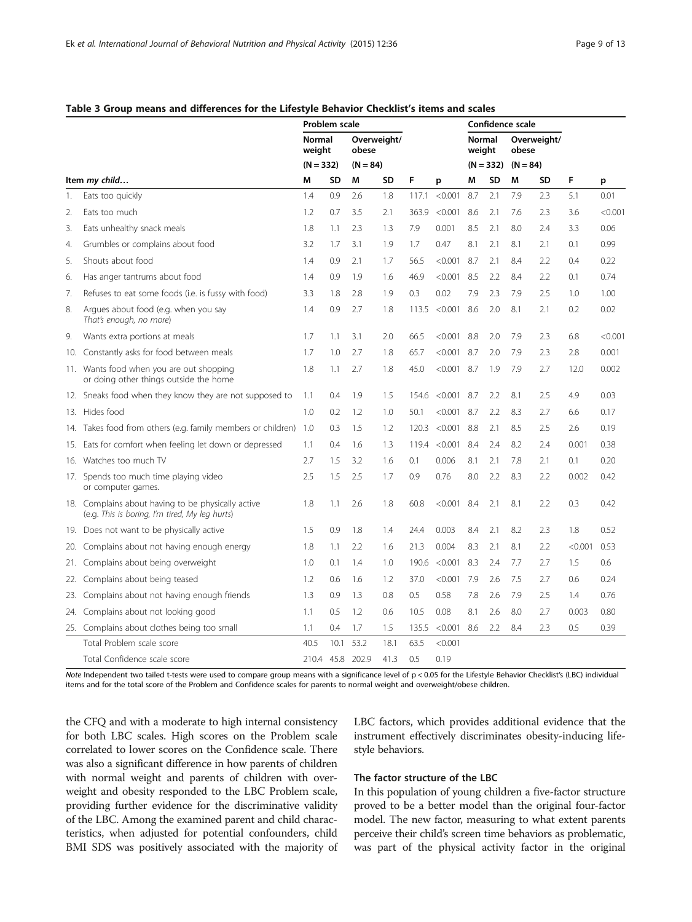# Problem scale Confidence scale Normal weight Overweight/ obese Normal weight Overweight/ obese  $(N = 332)$   $(N = 84)$   $(N = 332)$   $(N = 84)$ Item *my child*… M SD M SD F p M SD M SD F p 1. Eats too quickly 1.4 0.9 2.6 1.8 117.1 <0.001 8.7 2.1 7.9 2.3 5.1 0.01 2. Eats too much 1.2 0.7 3.5 2.1 363.9 <0.001 8.6 2.1 7.6 2.3 3.6 <0.001 3. Eats unhealthy snack meals 1.8 1.1 2.3 1.3 7.9 0.001 8.5 2.1 8.0 2.4 3.3 0.06 4. Grumbles or complains about food 3.2 1.7 3.1 1.9 1.7 0.47 8.1 2.1 8.1 2.1 0.1 0.99 5. Shouts about food 1.4 0.9 2.1 1.7 56.5 <0.001 8.7 2.1 8.4 2.2 0.4 0.22 6. Has anger tantrums about food 1.4 0.9 1.9 1.6 46.9 <0.001 8.5 2.2 8.4 2.2 0.1 0.74 7. Refuses to eat some foods (i.e. is fussy with food) 3.3 1.8 2.8 1.9 0.3 0.02 7.9 2.3 7.9 2.5 1.0 1.00 8. Argues about food (e.g. when you say That's enough, no more) 1.4 0.9 2.7 1.8 113.5 <0.001 8.6 2.0 8.1 2.1 0.2 0.02 9. Wants extra portions at meals 1.7 1.1 3.1 2.0 66.5 <0.001 8.8 2.0 7.9 2.3 6.8 <0.001 10. Constantly asks for food between meals 1.7 1.0 2.7 1.8 65.7 <0.001 8.7 2.0 7.9 2.3 2.8 0.001 11. Wants food when you are out shopping or doing other things outside the home 1.8 1.1 2.7 1.8 45.0 <0.001 8.7 1.9 7.9 2.7 12.0 0.002 12. Sneaks food when they know they are not supposed to 1.1 0.4 1.9 1.5 154.6 <0.001 8.7 2.2 8.1 2.5 4.9 0.03 13. Hides food 1.0 0.2 1.2 1.0 50.1 <0.001 8.7 2.2 8.3 2.7 6.6 0.17 14. Takes food from others (e.g. family members or children) 1.0 0.3 1.5 1.2 120.3 <0.001 8.8 2.1 8.5 2.5 2.6 0.19 15. Eats for comfort when feeling let down or depressed 1.1 0.4 1.6 1.3 119.4 <0.001 8.4 2.4 8.2 2.4 0.001 0.38 16. Watches too much TV 2.7 1.5 3.2 1.6 0.1 0.006 8.1 2.1 7.8 2.1 0.1 0.20 17. Spends too much time playing video or computer games. 2.5 1.5 2.5 1.7 0.9 0.76 8.0 2.2 8.3 2.2 0.002 0.42 18. Complains about having to be physically active (e.g. This is boring, I'm tired, My leg hurts) 1.8 1.1 2.6 1.8 60.8 <0.001 8.4 2.1 8.1 2.2 0.3 0.42 19. Does not want to be physically active 1.5 0.9 1.8 1.4 24.4 0.003 8.4 2.1 8.2 2.3 1.8 0.52 20. Complains about not having enough energy 1.8 1.1 2.2 1.6 21.3 0.004 8.3 2.1 8.1 2.2 < 0.001 0.53 21. Complains about being overweight 1.0 0.1 1.4 1.0 190.6 <0.001 8.3 2.4 7.7 2.7 1.5 0.6 22. Complains about being teased 1.2 0.6 1.6 1.2 37.0 <0.001 7.9 2.6 7.5 2.7 0.6 0.24 23. Complains about not having enough friends 1.3 0.9 1.3 0.8 0.5 0.58 7.8 2.6 7.9 2.5 1.4 0.76 24. Complains about not looking good 1.1 0.5 1.2 0.6 10.5 0.08 8.1 2.6 8.0 2.7 0.003 0.80 25. Complains about clothes being too small **1.1** 0.4 1.7 1.5 135.5 < 0.001 8.6 2.2 8.4 2.3 0.5 0.39 Total Problem scale score 40.5 10.1 53.2 18.1 63.5 <0.001

#### <span id="page-8-0"></span>Table 3 Group means and differences for the Lifestyle Behavior Checklist's items and scales

Note Independent two tailed t-tests were used to compare group means with a significance level of p < 0.05 for the Lifestyle Behavior Checklist's (LBC) individual items and for the total score of the Problem and Confidence scales for parents to normal weight and overweight/obese children.

Total Confidence scale score 210.4 45.8 202.9 41.3 0.5 0.19

the CFQ and with a moderate to high internal consistency for both LBC scales. High scores on the Problem scale correlated to lower scores on the Confidence scale. There was also a significant difference in how parents of children with normal weight and parents of children with overweight and obesity responded to the LBC Problem scale, providing further evidence for the discriminative validity of the LBC. Among the examined parent and child characteristics, when adjusted for potential confounders, child BMI SDS was positively associated with the majority of LBC factors, which provides additional evidence that the instrument effectively discriminates obesity-inducing lifestyle behaviors.

# The factor structure of the LBC

In this population of young children a five-factor structure proved to be a better model than the original four-factor model. The new factor, measuring to what extent parents perceive their child's screen time behaviors as problematic, was part of the physical activity factor in the original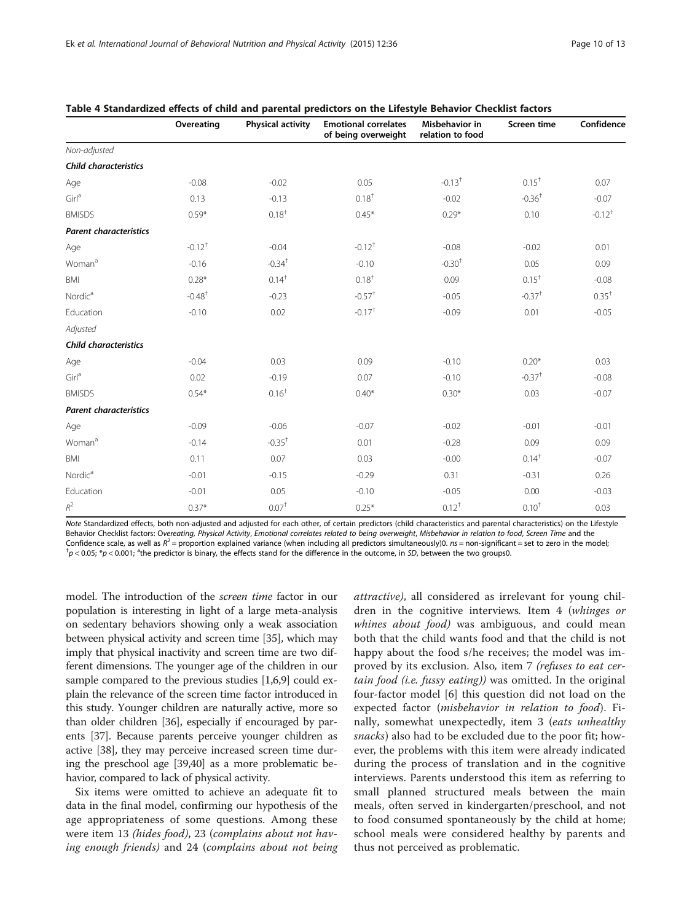|                               | Overeating           | Physical activity    | <b>Emotional correlates</b><br>of being overweight | Misbehavior in<br>relation to food | Screen time          | Confidence       |
|-------------------------------|----------------------|----------------------|----------------------------------------------------|------------------------------------|----------------------|------------------|
| Non-adjusted                  |                      |                      |                                                    |                                    |                      |                  |
| <b>Child characteristics</b>  |                      |                      |                                                    |                                    |                      |                  |
| Age                           | $-0.08$              | $-0.02$              | 0.05                                               | $-0.13$ <sup>+</sup>               | $0.15^+$             | 0.07             |
| $Girl^a$                      | 0.13                 | $-0.13$              | $0.18^{+}$                                         | $-0.02$                            | $-0.36$ <sup>+</sup> | $-0.07$          |
| <b>BMISDS</b>                 | $0.59*$              | $0.18^{+}$           | $0.45*$                                            | $0.29*$                            | 0.10                 | $-0.12^{+}$      |
| <b>Parent characteristics</b> |                      |                      |                                                    |                                    |                      |                  |
| Age                           | $-0.12$ <sup>+</sup> | $-0.04$              | $-0.12$ <sup>+</sup>                               | $-0.08$                            | $-0.02$              | 0.01             |
| Woman <sup>a</sup>            | $-0.16$              | $-0.34$ <sup>+</sup> | $-0.10$                                            | $-0.30+$                           | 0.05                 | 0.09             |
| <b>BMI</b>                    | $0.28*$              | $0.14^{+}$           | $0.18^{+}$                                         | 0.09                               | $0.15^+$             | $-0.08$          |
| Nordic <sup>a</sup>           | $-0.48$ <sup>+</sup> | $-0.23$              | $-0.57$ <sup>+</sup>                               | $-0.05$                            | $-0.37$ <sup>+</sup> | $0.35^{\dagger}$ |
| Education                     | $-0.10$              | 0.02                 | $-0.17$ <sup>+</sup>                               | $-0.09$                            | 0.01                 | $-0.05$          |
| Adjusted                      |                      |                      |                                                    |                                    |                      |                  |
| <b>Child characteristics</b>  |                      |                      |                                                    |                                    |                      |                  |
| Age                           | $-0.04$              | 0.03                 | 0.09                                               | $-0.10$                            | $0.20*$              | 0.03             |
| Girl <sup>a</sup>             | 0.02                 | $-0.19$              | 0.07                                               | $-0.10$                            | $-0.37$ <sup>+</sup> | $-0.08$          |
| <b>BMISDS</b>                 | $0.54*$              | 0.16 <sup>†</sup>    | $0.40*$                                            | $0.30*$                            | 0.03                 | $-0.07$          |
| <b>Parent characteristics</b> |                      |                      |                                                    |                                    |                      |                  |
| Age                           | $-0.09$              | $-0.06$              | $-0.07$                                            | $-0.02$                            | $-0.01$              | $-0.01$          |
| Woman <sup>a</sup>            | $-0.14$              | $-0.35$ <sup>+</sup> | 0.01                                               | $-0.28$                            | 0.09                 | 0.09             |
| BMI                           | 0.11                 | 0.07                 | 0.03                                               | $-0.00$                            | $0.14^{\dagger}$     | $-0.07$          |
| Nordica                       | $-0.01$              | $-0.15$              | $-0.29$                                            | 0.31                               | $-0.31$              | 0.26             |
| Education                     | $-0.01$              | 0.05                 | $-0.10$                                            | $-0.05$                            | 0.00                 | $-0.03$          |
| $\mathbb{R}^2$                | $0.37*$              | $0.07+$              | $0.25*$                                            | $0.12^{+}$                         | $0.10^{+}$           | 0.03             |

<span id="page-9-0"></span>

Note Standardized effects, both non-adjusted and adjusted for each other, of certain predictors (child characteristics and parental characteristics) on the Lifestyle Behavior Checklist factors: Overeating, Physical Activity, Emotional correlates related to being overweight, Misbehavior in relation to food, Screen Time and the Confidence scale, as well as  $R^2$  = proportion explained variance (when including all predictors simultaneously)0.  $ns$  = non-significant = set to zero in the model;  $p < 0.05$ ;  $*p < 0.001$ ; <sup>a</sup>the predictor is binary, the effects stand for the difference in the outcome, in SD, between the two groups0.

model. The introduction of the screen time factor in our population is interesting in light of a large meta-analysis on sedentary behaviors showing only a weak association between physical activity and screen time [\[35\]](#page-12-0), which may imply that physical inactivity and screen time are two different dimensions. The younger age of the children in our sample compared to the previous studies [\[1,6,9\]](#page-11-0) could explain the relevance of the screen time factor introduced in this study. Younger children are naturally active, more so than older children [\[36\]](#page-12-0), especially if encouraged by parents [[37](#page-12-0)]. Because parents perceive younger children as active [\[38\]](#page-12-0), they may perceive increased screen time during the preschool age [\[39,40\]](#page-12-0) as a more problematic behavior, compared to lack of physical activity.

Six items were omitted to achieve an adequate fit to data in the final model, confirming our hypothesis of the age appropriateness of some questions. Among these were item 13 (hides food), 23 (complains about not having enough friends) and 24 (complains about not being attractive), all considered as irrelevant for young children in the cognitive interviews. Item 4 (whinges or whines about food) was ambiguous, and could mean both that the child wants food and that the child is not happy about the food s/he receives; the model was improved by its exclusion. Also, item 7 (refuses to eat certain food (i.e. fussy eating)) was omitted. In the original four-factor model [[6](#page-11-0)] this question did not load on the expected factor (*misbehavior in relation to food*). Finally, somewhat unexpectedly, item 3 (eats unhealthy snacks) also had to be excluded due to the poor fit; however, the problems with this item were already indicated during the process of translation and in the cognitive interviews. Parents understood this item as referring to small planned structured meals between the main meals, often served in kindergarten/preschool, and not to food consumed spontaneously by the child at home; school meals were considered healthy by parents and thus not perceived as problematic.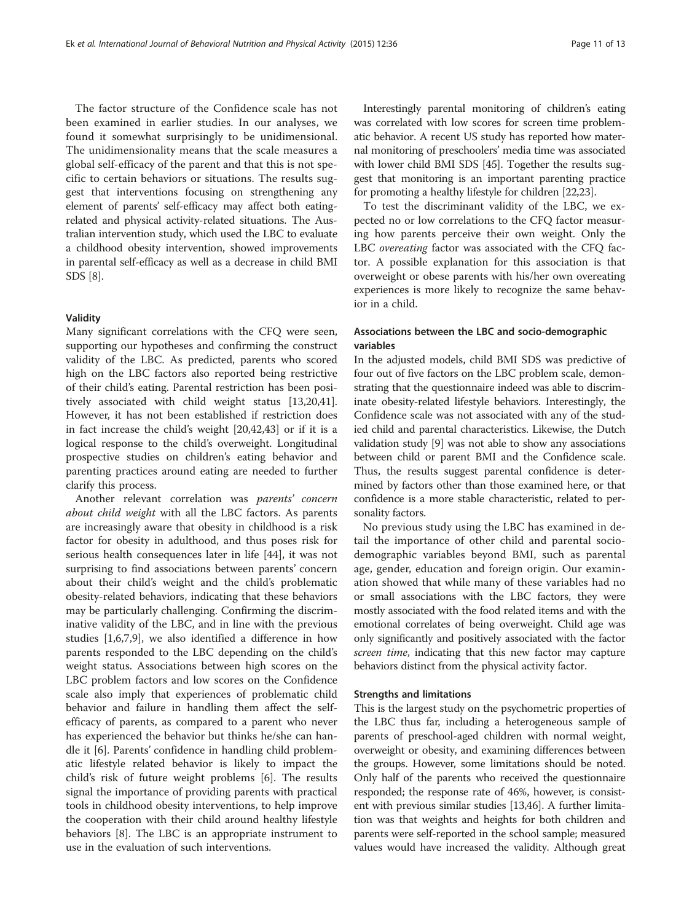The factor structure of the Confidence scale has not been examined in earlier studies. In our analyses, we found it somewhat surprisingly to be unidimensional. The unidimensionality means that the scale measures a global self-efficacy of the parent and that this is not specific to certain behaviors or situations. The results suggest that interventions focusing on strengthening any element of parents' self-efficacy may affect both eatingrelated and physical activity-related situations. The Australian intervention study, which used the LBC to evaluate a childhood obesity intervention, showed improvements in parental self-efficacy as well as a decrease in child BMI SDS [\[8](#page-11-0)].

# Validity

Many significant correlations with the CFQ were seen, supporting our hypotheses and confirming the construct validity of the LBC. As predicted, parents who scored high on the LBC factors also reported being restrictive of their child's eating. Parental restriction has been positively associated with child weight status [\[13](#page-11-0)[,20,41](#page-12-0)]. However, it has not been established if restriction does in fact increase the child's weight [[20,42,43\]](#page-12-0) or if it is a logical response to the child's overweight. Longitudinal prospective studies on children's eating behavior and parenting practices around eating are needed to further clarify this process.

Another relevant correlation was parents' concern about child weight with all the LBC factors. As parents are increasingly aware that obesity in childhood is a risk factor for obesity in adulthood, and thus poses risk for serious health consequences later in life [[44\]](#page-12-0), it was not surprising to find associations between parents' concern about their child's weight and the child's problematic obesity-related behaviors, indicating that these behaviors may be particularly challenging. Confirming the discriminative validity of the LBC, and in line with the previous studies [[1](#page-11-0),[6,7,9\]](#page-11-0), we also identified a difference in how parents responded to the LBC depending on the child's weight status. Associations between high scores on the LBC problem factors and low scores on the Confidence scale also imply that experiences of problematic child behavior and failure in handling them affect the selfefficacy of parents, as compared to a parent who never has experienced the behavior but thinks he/she can handle it [\[6\]](#page-11-0). Parents' confidence in handling child problematic lifestyle related behavior is likely to impact the child's risk of future weight problems [\[6](#page-11-0)]. The results signal the importance of providing parents with practical tools in childhood obesity interventions, to help improve the cooperation with their child around healthy lifestyle behaviors [\[8](#page-11-0)]. The LBC is an appropriate instrument to use in the evaluation of such interventions.

Interestingly parental monitoring of children's eating was correlated with low scores for screen time problematic behavior. A recent US study has reported how maternal monitoring of preschoolers' media time was associated with lower child BMI SDS [\[45\]](#page-12-0). Together the results suggest that monitoring is an important parenting practice for promoting a healthy lifestyle for children [\[22,23](#page-12-0)].

To test the discriminant validity of the LBC, we expected no or low correlations to the CFQ factor measuring how parents perceive their own weight. Only the LBC overeating factor was associated with the CFQ factor. A possible explanation for this association is that overweight or obese parents with his/her own overeating experiences is more likely to recognize the same behavior in a child.

# Associations between the LBC and socio-demographic variables

In the adjusted models, child BMI SDS was predictive of four out of five factors on the LBC problem scale, demonstrating that the questionnaire indeed was able to discriminate obesity-related lifestyle behaviors. Interestingly, the Confidence scale was not associated with any of the studied child and parental characteristics. Likewise, the Dutch validation study [\[9](#page-11-0)] was not able to show any associations between child or parent BMI and the Confidence scale. Thus, the results suggest parental confidence is determined by factors other than those examined here, or that confidence is a more stable characteristic, related to personality factors.

No previous study using the LBC has examined in detail the importance of other child and parental sociodemographic variables beyond BMI, such as parental age, gender, education and foreign origin. Our examination showed that while many of these variables had no or small associations with the LBC factors, they were mostly associated with the food related items and with the emotional correlates of being overweight. Child age was only significantly and positively associated with the factor screen time, indicating that this new factor may capture behaviors distinct from the physical activity factor.

# Strengths and limitations

This is the largest study on the psychometric properties of the LBC thus far, including a heterogeneous sample of parents of preschool-aged children with normal weight, overweight or obesity, and examining differences between the groups. However, some limitations should be noted. Only half of the parents who received the questionnaire responded; the response rate of 46%, however, is consistent with previous similar studies [[13,](#page-11-0)[46](#page-12-0)]. A further limitation was that weights and heights for both children and parents were self-reported in the school sample; measured values would have increased the validity. Although great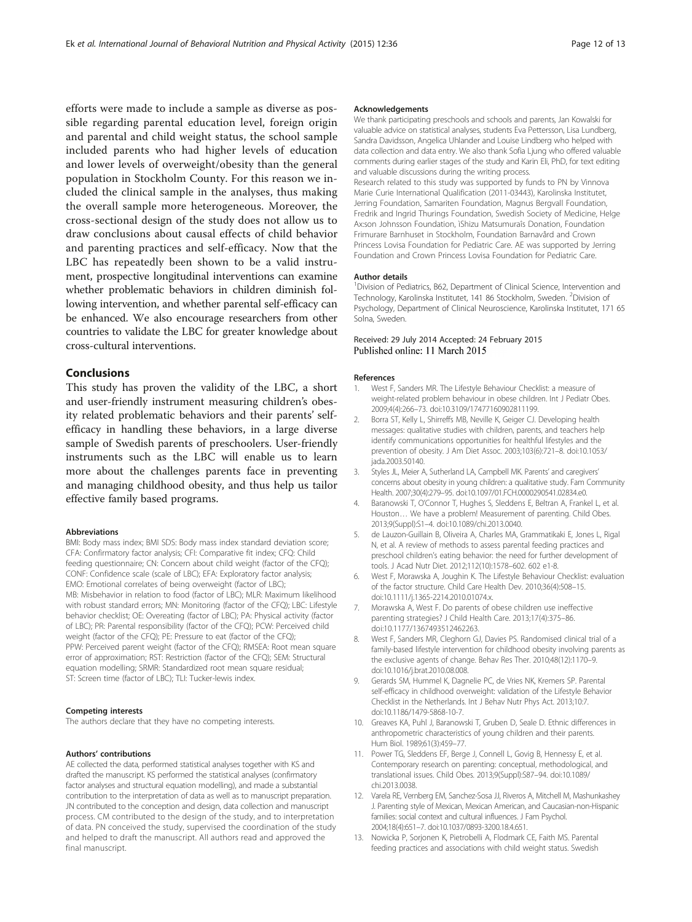<span id="page-11-0"></span>efforts were made to include a sample as diverse as possible regarding parental education level, foreign origin and parental and child weight status, the school sample included parents who had higher levels of education and lower levels of overweight/obesity than the general population in Stockholm County. For this reason we included the clinical sample in the analyses, thus making the overall sample more heterogeneous. Moreover, the cross-sectional design of the study does not allow us to draw conclusions about causal effects of child behavior and parenting practices and self-efficacy. Now that the LBC has repeatedly been shown to be a valid instrument, prospective longitudinal interventions can examine whether problematic behaviors in children diminish following intervention, and whether parental self-efficacy can be enhanced. We also encourage researchers from other countries to validate the LBC for greater knowledge about cross-cultural interventions.

# Conclusions

This study has proven the validity of the LBC, a short and user-friendly instrument measuring children's obesity related problematic behaviors and their parents' selfefficacy in handling these behaviors, in a large diverse sample of Swedish parents of preschoolers. User-friendly instruments such as the LBC will enable us to learn more about the challenges parents face in preventing and managing childhood obesity, and thus help us tailor effective family based programs.

#### Abbreviations

BMI: Body mass index; BMI SDS: Body mass index standard deviation score; CFA: Confirmatory factor analysis; CFI: Comparative fit index; CFQ: Child feeding questionnaire; CN: Concern about child weight (factor of the CFQ); CONF: Confidence scale (scale of LBC); EFA: Exploratory factor analysis; EMO: Emotional correlates of being overweight (factor of LBC); MB: Misbehavior in relation to food (factor of LBC); MLR: Maximum likelihood with robust standard errors; MN: Monitoring (factor of the CFQ); LBC: Lifestyle behavior checklist; OE: Overeating (factor of LBC); PA: Physical activity (factor of LBC); PR: Parental responsibility (factor of the CFQ); PCW: Perceived child weight (factor of the CFQ); PE: Pressure to eat (factor of the CFQ); PPW: Perceived parent weight (factor of the CFQ); RMSEA: Root mean square error of approximation; RST: Restriction (factor of the CFQ); SEM: Structural equation modelling; SRMR: Standardized root mean square residual; ST: Screen time (factor of LBC); TLI: Tucker-lewis index.

#### Competing interests

The authors declare that they have no competing interests.

#### Authors' contributions

AE collected the data, performed statistical analyses together with KS and drafted the manuscript. KS performed the statistical analyses (confirmatory factor analyses and structural equation modelling), and made a substantial contribution to the interpretation of data as well as to manuscript preparation. JN contributed to the conception and design, data collection and manuscript process. CM contributed to the design of the study, and to interpretation of data. PN conceived the study, supervised the coordination of the study and helped to draft the manuscript. All authors read and approved the final manuscript.

#### Acknowledgements

We thank participating preschools and schools and parents, Jan Kowalski for valuable advice on statistical analyses, students Eva Pettersson, Lisa Lundberg, Sandra Davidsson, Angelica Uhlander and Louise Lindberg who helped with data collection and data entry. We also thank Sofia Ljung who offered valuable comments during earlier stages of the study and Karin Eli, PhD, for text editing and valuable discussions during the writing process. Research related to this study was supported by funds to PN by Vinnova Marie Curie International Qualification (2011-03443), Karolinska Institutet, Jerring Foundation, Samariten Foundation, Magnus Bergvall Foundation, Fredrik and Ingrid Thurings Foundation, Swedish Society of Medicine, Helge Ax:son Johnsson Foundation, ìShizu Matsumuraîs Donation, Foundation Frimurare Barnhuset in Stockholm, Foundation Barnavård and Crown Princess Lovisa Foundation for Pediatric Care. AE was supported by Jerring

#### Author details

<sup>1</sup> Division of Pediatrics, B62, Department of Clinical Science, Intervention and Technology, Karolinska Institutet, 141 86 Stockholm, Sweden. <sup>2</sup>Division of Psychology, Department of Clinical Neuroscience, Karolinska Institutet, 171 65 Solna, Sweden.

Foundation and Crown Princess Lovisa Foundation for Pediatric Care.

# Received: 29 July 2014 Accepted: 24 February 2015 Published online: 11 March 2015

#### References

- 1. West F, Sanders MR. The Lifestyle Behaviour Checklist: a measure of weight-related problem behaviour in obese children. Int J Pediatr Obes. 2009;4(4):266–73. doi:10.3109/17477160902811199.
- 2. Borra ST, Kelly L, Shirreffs MB, Neville K, Geiger CJ. Developing health messages: qualitative studies with children, parents, and teachers help identify communications opportunities for healthful lifestyles and the prevention of obesity. J Am Diet Assoc. 2003;103(6):721–8. doi:10.1053/ jada.2003.50140.
- 3. Styles JL, Meier A, Sutherland LA, Campbell MK. Parents' and caregivers' concerns about obesity in young children: a qualitative study. Fam Community Health. 2007;30(4):279–95. doi:10.1097/01.FCH.0000290541.02834.e0.
- 4. Baranowski T, O'Connor T, Hughes S, Sleddens E, Beltran A, Frankel L, et al. Houston… We have a problem! Measurement of parenting. Child Obes. 2013;9(Suppl):S1–4. doi:10.1089/chi.2013.0040.
- 5. de Lauzon-Guillain B, Oliveira A, Charles MA, Grammatikaki E, Jones L, Rigal N, et al. A review of methods to assess parental feeding practices and preschool children's eating behavior: the need for further development of tools. J Acad Nutr Diet. 2012;112(10):1578–602. 602 e1-8.
- 6. West F, Morawska A, Joughin K. The Lifestyle Behaviour Checklist: evaluation of the factor structure. Child Care Health Dev. 2010;36(4):508–15. doi:10.1111/j.1365-2214.2010.01074.x.
- 7. Morawska A, West F. Do parents of obese children use ineffective parenting strategies? J Child Health Care. 2013;17(4):375–86. doi:10.1177/1367493512462263.
- 8. West F, Sanders MR, Cleghorn GJ, Davies PS. Randomised clinical trial of a family-based lifestyle intervention for childhood obesity involving parents as the exclusive agents of change. Behav Res Ther. 2010;48(12):1170–9. doi:10.1016/j.brat.2010.08.008.
- Gerards SM, Hummel K, Dagnelie PC, de Vries NK, Kremers SP. Parental self-efficacy in childhood overweight: validation of the Lifestyle Behavior Checklist in the Netherlands. Int J Behav Nutr Phys Act. 2013;10:7. doi:10.1186/1479-5868-10-7.
- 10. Greaves KA, Puhl J, Baranowski T, Gruben D, Seale D. Ethnic differences in anthropometric characteristics of young children and their parents. Hum Biol. 1989;61(3):459–77.
- 11. Power TG, Sleddens EF, Berge J, Connell L, Govig B, Hennessy E, et al. Contemporary research on parenting: conceptual, methodological, and translational issues. Child Obes. 2013;9(Suppl):S87–94. doi:10.1089/ chi.2013.0038.
- 12. Varela RE, Vernberg EM, Sanchez-Sosa JJ, Riveros A, Mitchell M, Mashunkashey J. Parenting style of Mexican, Mexican American, and Caucasian-non-Hispanic families: social context and cultural influences. J Fam Psychol. 2004;18(4):651–7. doi:10.1037/0893-3200.18.4.651.
- 13. Nowicka P, Sorjonen K, Pietrobelli A, Flodmark CE, Faith MS. Parental feeding practices and associations with child weight status. Swedish